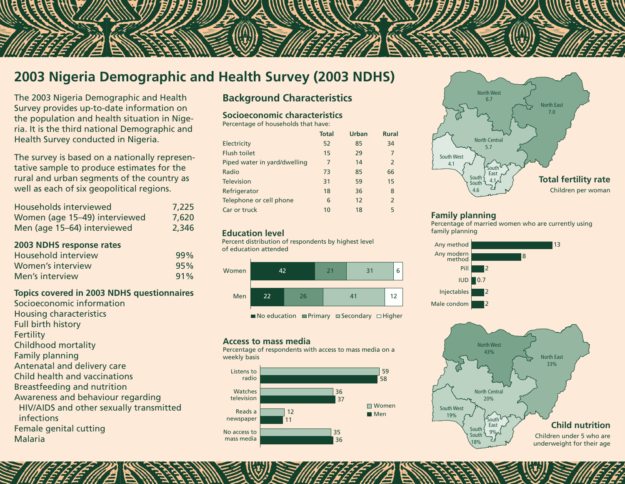# **2003 Nigeria Demographic and Health Survey (2003 NDHS)**

The 2003 Nigeria Demographic and Health Survey provides up-to-date information on the population and health situation in Nigeria. It is the third national Demographic and Health Survey conducted in Nigeria.

The survey is based on a nationally representative sample to produce estimates for the rural and urban segments of the country as well as each of six geopolitical regions.

| Households interviewed        | 7,225 |
|-------------------------------|-------|
| Women (age 15-49) interviewed | 7,620 |
| Men (age 15-64) interviewed   | 2,346 |
| 2003 NDHS response rates      |       |

| Household interview | 99% |
|---------------------|-----|
| Women's interview   | 95% |
| Men's interview     | 91% |

### **Topics covered in 2003 NDHS questionnaires**

Socioeconomic information Housing characteristics Full birth history **Fertility** Childhood mortality Family planning Antenatal and delivery care Child health and vaccinations Breastfeeding and nutrition Awareness and behaviour regarding HIV/AIDS and other sexually transmitted infections Female genital cutting Malaria

# **Background Characteristics**

#### **Socioeconomic characteristics**

Percentage of households that have:

|                              | <b>Total</b> | <b>Urban</b> | <b>Rural</b>   |
|------------------------------|--------------|--------------|----------------|
| Electricity                  | 52           | 85           | 34             |
| <b>Flush toilet</b>          | 15           | 29           | 7              |
| Piped water in yard/dwelling | 7            | 14           | $\mathcal{P}$  |
| Radio                        | 73           | 85           | 66             |
| <b>Television</b>            | 31           | 59           | 15             |
| Refrigerator                 | 18           | 36           | 8              |
| Telephone or cell phone      | 6            | 12           | $\overline{2}$ |
| Car or truck                 | 10           | 18           | 5              |
|                              |              |              |                |

#### **Education level**

Percent distribution of respondents by highest level of education attended



 $\blacksquare$  No education  $\blacksquare$  Primary  $\blacksquare$  Secondary  $\Box$  Higher

#### **Access to mass media**

Percentage of respondents with access to mass media on a weekly basis





#### **Family planning**

Percentage of married women who are currently using family planning

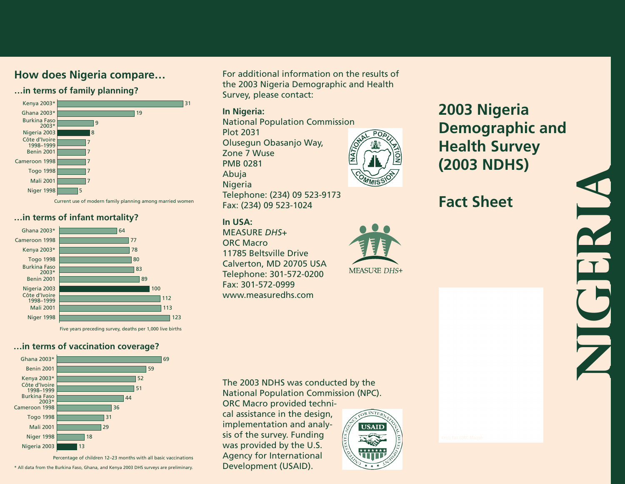### **…in terms of family planning?**



Current use of modern family planning among married women

#### **…in terms of infant mortality?**



Five years preceding survey, deaths per 1,000 live births

## **…in terms of vaccination coverage?**



Percentage of children 12–23 months with all basic vaccinations

\* All data from the Burkina Faso, Ghana, and Kenya 2003 DHS surveys are preliminary.

**How does Nigeria compare...** For additional information on the results of the 2003 Nigeria Demographic and Health Survey, please contact:

#### **In Nigeria:**

National Population Commission Plot 2031 Olusegun Obasanjo Way, Zone 7 Wuse PMB 0281 Abuja Nigeria Telephone: (234) 09 523-9173 Fax: (234) 09 523-1024

### **In USA:**

MEASURE *DHS+* ORC Macro 11785 Beltsville Drive Calverton, MD 20705 USA Telephone: 301-572-0200 Fax: 301-572-0999 www.measuredhs.com

# **2003 Nigeria Demographic and Health Survey (2003 NDHS)**

# **Fact Sheet**



**Nigeria**

The 2003 NDHS was conducted by the National Population Commission (NPC).

ORC Macro provided technical assistance in the design, implementation and analysis of the survey. Funding was provided by the U.S. Agency for International Development (USAID).